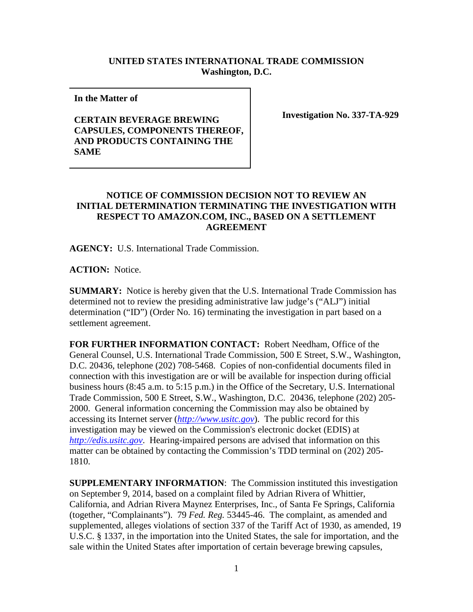## **UNITED STATES INTERNATIONAL TRADE COMMISSION Washington, D.C.**

**In the Matter of** 

## **CERTAIN BEVERAGE BREWING CAPSULES, COMPONENTS THEREOF, AND PRODUCTS CONTAINING THE SAME**

**Investigation No. 337-TA-929**

## **NOTICE OF COMMISSION DECISION NOT TO REVIEW AN INITIAL DETERMINATION TERMINATING THE INVESTIGATION WITH RESPECT TO AMAZON.COM, INC., BASED ON A SETTLEMENT AGREEMENT**

**AGENCY:** U.S. International Trade Commission.

**ACTION:** Notice.

**SUMMARY:** Notice is hereby given that the U.S. International Trade Commission has determined not to review the presiding administrative law judge's ("ALJ") initial determination ("ID") (Order No. 16) terminating the investigation in part based on a settlement agreement.

**FOR FURTHER INFORMATION CONTACT:** Robert Needham, Office of the General Counsel, U.S. International Trade Commission, 500 E Street, S.W., Washington, D.C. 20436, telephone (202) 708-5468. Copies of non-confidential documents filed in connection with this investigation are or will be available for inspection during official business hours (8:45 a.m. to 5:15 p.m.) in the Office of the Secretary, U.S. International Trade Commission, 500 E Street, S.W., Washington, D.C. 20436, telephone (202) 205- 2000. General information concerning the Commission may also be obtained by accessing its Internet server (*[http://www.usitc.gov](http://www.usitc.gov/)*). The public record for this investigation may be viewed on the Commission's electronic docket (EDIS) at *[http://edis.usitc.gov](http://edis.usitc.gov/)*. Hearing-impaired persons are advised that information on this matter can be obtained by contacting the Commission's TDD terminal on (202) 205- 1810.

**SUPPLEMENTARY INFORMATION**: The Commission instituted this investigation on September 9, 2014, based on a complaint filed by Adrian Rivera of Whittier, California, and Adrian Rivera Maynez Enterprises, Inc., of Santa Fe Springs, California (together, "Complainants"). 79 *Fed. Reg.* 53445-46. The complaint, as amended and supplemented, alleges violations of section 337 of the Tariff Act of 1930, as amended, 19 U.S.C. § 1337, in the importation into the United States, the sale for importation, and the sale within the United States after importation of certain beverage brewing capsules,